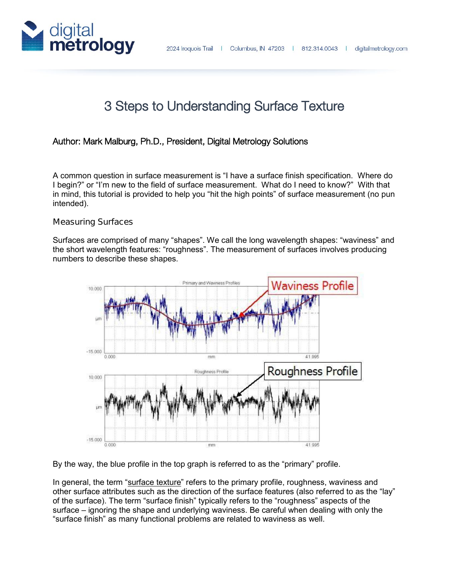

# 3 Steps to Understanding Surface Texture

## Author: Mark Malburg, Ph.D., President, Digital Metrology Solutions

A common question in surface measurement is "I have a surface finish specification. Where do I begin?" or "I'm new to the field of surface measurement. What do I need to know?" With that in mind, this tutorial is provided to help you "hit the high points" of surface measurement (no pun intended).

#### **Measuring Surfaces**

Surfaces are comprised of many "shapes". We call the long wavelength shapes: "waviness" and the short wavelength features: "roughness". The measurement of surfaces involves producing numbers to describe these shapes.



By the way, the blue profile in the top graph is referred to as the "primary" profile.

In general, the term "surface texture" refers to the primary profile, roughness, waviness and other surface attributes such as the direction of the surface features (also referred to as the "lay" of the surface). The term "surface finish" typically refers to the "roughness" aspects of the surface – ignoring the shape and underlying waviness. Be careful when dealing with only the "surface finish" as many functional problems are related to waviness as well.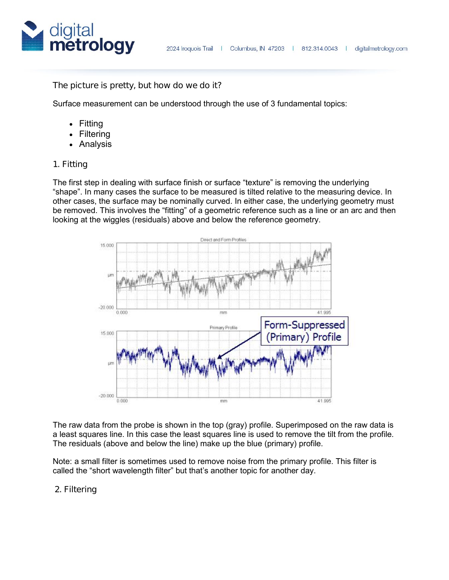

#### **The picture is pretty, but how do we do it?**

Surface measurement can be understood through the use of 3 fundamental topics:

- Fitting
- **Filtering**
- Analysis

#### **1. Fitting**

The first step in dealing with surface finish or surface "texture" is removing the underlying "shape". In many cases the surface to be measured is tilted relative to the measuring device. In other cases, the surface may be nominally curved. In either case, the underlying geometry must be removed. This involves the "fitting" of a geometric reference such as a line or an arc and then looking at the wiggles (residuals) above and below the reference geometry.



The raw data from the probe is shown in the top (gray) profile. Superimposed on the raw data is a least squares line. In this case the least squares line is used to remove the tilt from the profile. The residuals (above and below the line) make up the blue (primary) profile.

Note: a small filter is sometimes used to remove noise from the primary profile. This filter is called the "short wavelength filter" but that's another topic for another day.

#### **2. Filtering**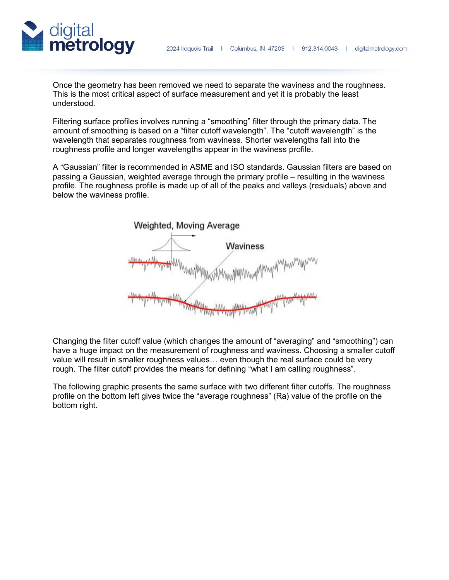



Once the geometry has been removed we need to separate the waviness and the roughness. This is the most critical aspect of surface measurement and yet it is probably the least understood.

Filtering surface profiles involves running a "smoothing" filter through the primary data. The amount of smoothing is based on a "filter cutoff wavelength". The "cutoff wavelength" is the wavelength that separates roughness from waviness. Shorter wavelengths fall into the roughness profile and longer wavelengths appear in the waviness profile.

A "Gaussian" filter is recommended in ASME and ISO standards. Gaussian filters are based on passing a Gaussian, weighted average through the primary profile – resulting in the waviness profile. The roughness profile is made up of all of the peaks and valleys (residuals) above and below the waviness profile.



Changing the filter cutoff value (which changes the amount of "averaging" and "smoothing") can have a huge impact on the measurement of roughness and waviness. Choosing a smaller cutoff value will result in smaller roughness values… even though the real surface could be very rough. The filter cutoff provides the means for defining "what I am calling roughness".

The following graphic presents the same surface with two different filter cutoffs. The roughness profile on the bottom left gives twice the "average roughness" (Ra) value of the profile on the bottom right.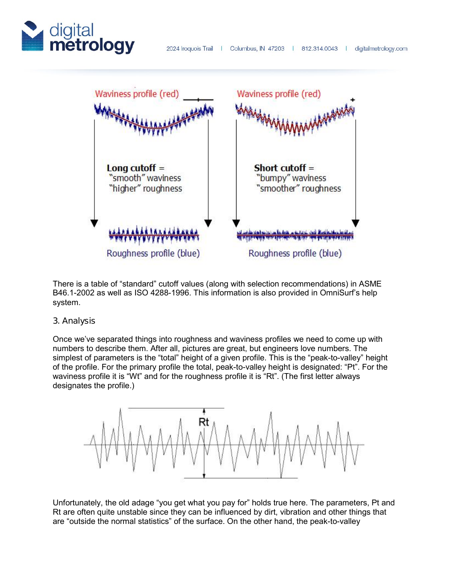



There is a table of "standard" cutoff values (along with selection recommendations) in ASME B46.1-2002 as well as ISO 4288-1996. This information is also provided in OmniSurf's help system.

## **3. Analysis**

Once we've separated things into roughness and waviness profiles we need to come up with numbers to describe them. After all, pictures are great, but engineers love numbers. The simplest of parameters is the "total" height of a given profile. This is the "peak-to-valley" height of the profile. For the primary profile the total, peak-to-valley height is designated: "Pt". For the waviness profile it is "Wt" and for the roughness profile it is "Rt". (The first letter always designates the profile.)



Unfortunately, the old adage "you get what you pay for" holds true here. The parameters, Pt and Rt are often quite unstable since they can be influenced by dirt, vibration and other things that are "outside the normal statistics" of the surface. On the other hand, the peak-to-valley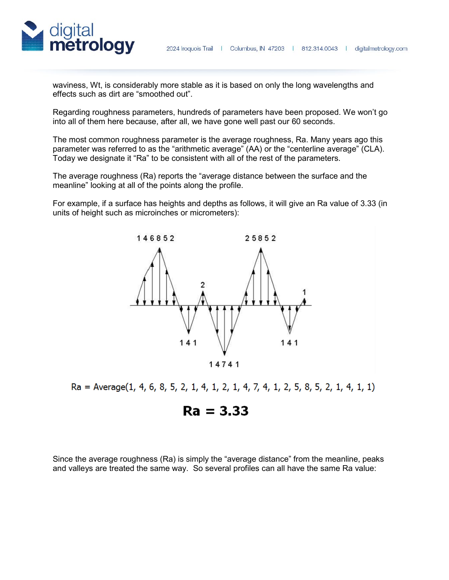

waviness, Wt, is considerably more stable as it is based on only the long wavelengths and effects such as dirt are "smoothed out".

Regarding roughness parameters, hundreds of parameters have been proposed. We won't go into all of them here because, after all, we have gone well past our 60 seconds.

The most common roughness parameter is the average roughness, Ra. Many years ago this parameter was referred to as the "arithmetic average" (AA) or the "centerline average" (CLA). Today we designate it "Ra" to be consistent with all of the rest of the parameters.

The average roughness (Ra) reports the "average distance between the surface and the meanline" looking at all of the points along the profile.

For example, if a surface has heights and depths as follows, it will give an Ra value of 3.33 (in units of height such as microinches or micrometers):





# $Ra = 3.33$

Since the average roughness (Ra) is simply the "average distance" from the meanline, peaks and valleys are treated the same way. So several profiles can all have the same Ra value: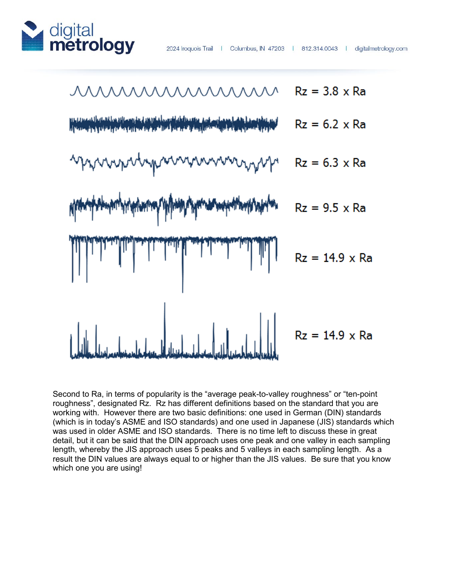



Second to Ra, in terms of popularity is the "average peak-to-valley roughness" or "ten-point roughness", designated Rz. Rz has different definitions based on the standard that you are working with. However there are two basic definitions: one used in German (DIN) standards (which is in today's ASME and ISO standards) and one used in Japanese (JIS) standards which was used in older ASME and ISO standards. There is no time left to discuss these in great detail, but it can be said that the DIN approach uses one peak and one valley in each sampling length, whereby the JIS approach uses 5 peaks and 5 valleys in each sampling length. As a result the DIN values are always equal to or higher than the JIS values. Be sure that you know which one you are using!